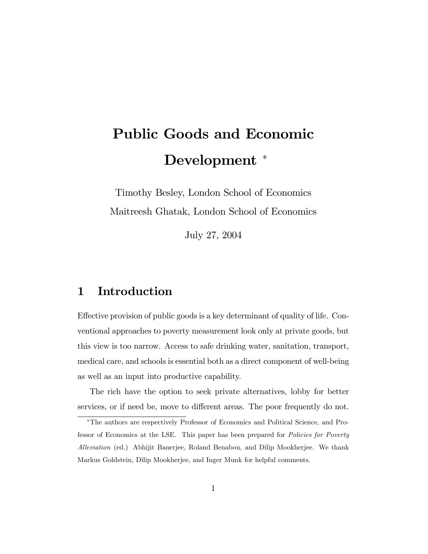# Public Goods and Economic Development \*

Timothy Besley, London School of Economics Maitreesh Ghatak, London School of Economics

July 27, 2004

# 1 Introduction

Effective provision of public goods is a key determinant of quality of life. Conventional approaches to poverty measurement look only at private goods, but this view is too narrow. Access to safe drinking water, sanitation, transport, medical care, and schools is essential both as a direct component of well-being as well as an input into productive capability.

The rich have the option to seek private alternatives, lobby for better services, or if need be, move to different areas. The poor frequently do not.

The authors are respectively Professor of Economics and Political Science, and Professor of Economics at the LSE. This paper has been prepared for Policies for Poverty Alleviation (ed.) Abhijit Banerjee, Roland Benabou, and Dilip Mookherjee. We thank Markus Goldstein, Dilip Mookherjee, and Inger Munk for helpful comments.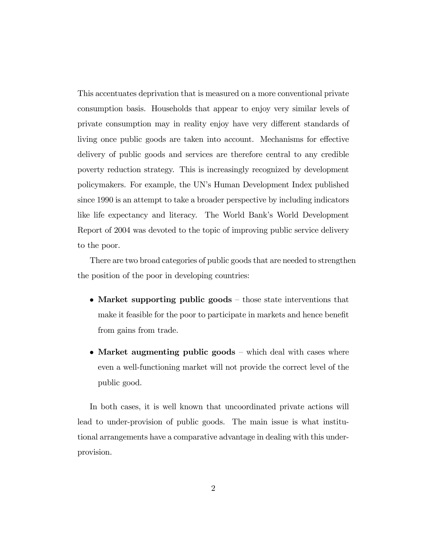This accentuates deprivation that is measured on a more conventional private consumption basis. Households that appear to enjoy very similar levels of private consumption may in reality enjoy have very different standards of living once public goods are taken into account. Mechanisms for effective delivery of public goods and services are therefore central to any credible poverty reduction strategy. This is increasingly recognized by development policymakers. For example, the UNís Human Development Index published since 1990 is an attempt to take a broader perspective by including indicators like life expectancy and literacy. The World Bank's World Development Report of 2004 was devoted to the topic of improving public service delivery to the poor.

There are two broad categories of public goods that are needed to strengthen the position of the poor in developing countries:

- Market supporting public goods  $-$  those state interventions that make it feasible for the poor to participate in markets and hence benefit from gains from trade.
- Market augmenting public goods  $\overline{\phantom{a}}$  which deal with cases where even a well-functioning market will not provide the correct level of the public good.

In both cases, it is well known that uncoordinated private actions will lead to under-provision of public goods. The main issue is what institutional arrangements have a comparative advantage in dealing with this underprovision.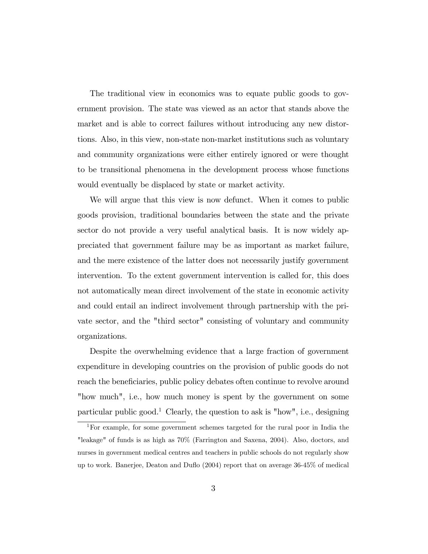The traditional view in economics was to equate public goods to government provision. The state was viewed as an actor that stands above the market and is able to correct failures without introducing any new distortions. Also, in this view, non-state non-market institutions such as voluntary and community organizations were either entirely ignored or were thought to be transitional phenomena in the development process whose functions would eventually be displaced by state or market activity.

We will argue that this view is now defunct. When it comes to public goods provision, traditional boundaries between the state and the private sector do not provide a very useful analytical basis. It is now widely appreciated that government failure may be as important as market failure, and the mere existence of the latter does not necessarily justify government intervention. To the extent government intervention is called for, this does not automatically mean direct involvement of the state in economic activity and could entail an indirect involvement through partnership with the private sector, and the "third sector" consisting of voluntary and community organizations.

Despite the overwhelming evidence that a large fraction of government expenditure in developing countries on the provision of public goods do not reach the beneficiaries, public policy debates often continue to revolve around "how much", i.e., how much money is spent by the government on some particular public good.<sup>1</sup> Clearly, the question to ask is "how", i.e., designing

<sup>1</sup>For example, for some government schemes targeted for the rural poor in India the "leakage" of funds is as high as 70% (Farrington and Saxena, 2004). Also, doctors, and nurses in government medical centres and teachers in public schools do not regularly show up to work. Banerjee, Deaton and Duáo (2004) report that on average 36-45% of medical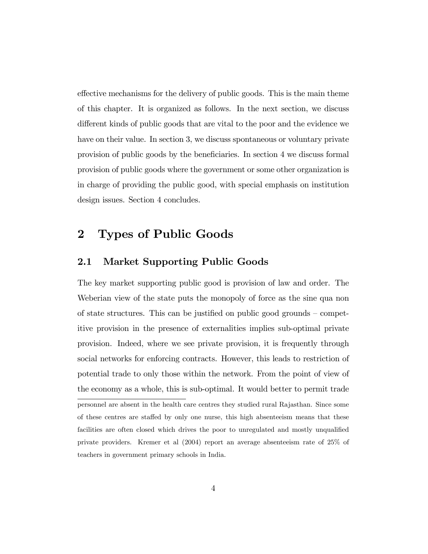effective mechanisms for the delivery of public goods. This is the main theme of this chapter. It is organized as follows. In the next section, we discuss different kinds of public goods that are vital to the poor and the evidence we have on their value. In section 3, we discuss spontaneous or voluntary private provision of public goods by the beneficiaries. In section 4 we discuss formal provision of public goods where the government or some other organization is in charge of providing the public good, with special emphasis on institution design issues. Section 4 concludes.

# 2 Types of Public Goods

#### 2.1 Market Supporting Public Goods

The key market supporting public good is provision of law and order. The Weberian view of the state puts the monopoly of force as the sine qua non of state structures. This can be justified on public good grounds  $\sim$  competitive provision in the presence of externalities implies sub-optimal private provision. Indeed, where we see private provision, it is frequently through social networks for enforcing contracts. However, this leads to restriction of potential trade to only those within the network. From the point of view of the economy as a whole, this is sub-optimal. It would better to permit trade personnel are absent in the health care centres they studied rural Rajasthan. Since some of these centres are staffed by only one nurse, this high absenteeism means that these facilities are often closed which drives the poor to unregulated and mostly unqualified private providers. Kremer et al (2004) report an average absenteeism rate of 25% of teachers in government primary schools in India.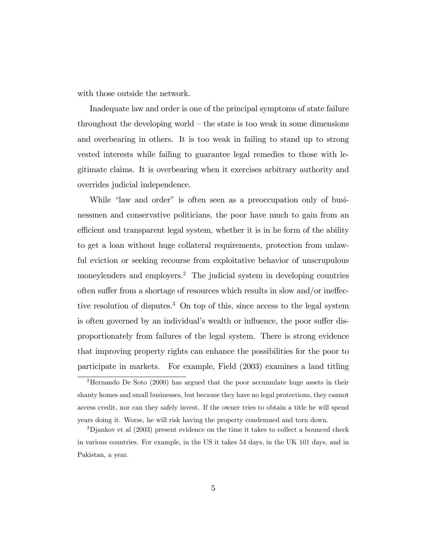with those outside the network.

Inadequate law and order is one of the principal symptoms of state failure throughout the developing world  $-$  the state is too weak in some dimensions and overbearing in others. It is too weak in failing to stand up to strong vested interests while failing to guarantee legal remedies to those with legitimate claims. It is overbearing when it exercises arbitrary authority and overrides judicial independence.

While "law and order" is often seen as a preoccupation only of businessmen and conservative politicians, the poor have much to gain from an efficient and transparent legal system, whether it is in he form of the ability to get a loan without huge collateral requirements, protection from unlawful eviction or seeking recourse from exploitative behavior of unscrupulous moneylenders and employers.<sup>2</sup> The judicial system in developing countries often suffer from a shortage of resources which results in slow and/or ineffective resolution of disputes.<sup>3</sup> On top of this, since access to the legal system is often governed by an individual's wealth or influence, the poor suffer disproportionately from failures of the legal system. There is strong evidence that improving property rights can enhance the possibilities for the poor to participate in markets. For example, Field (2003) examines a land titling

<sup>2</sup>Hernando De Soto (2000) has argued that the poor accumulate huge assets in their shanty homes and small businesses, but because they have no legal protections, they cannot access credit, nor can they safely invest. If the owner tries to obtain a title he will spend years doing it. Worse, he will risk having the property condemned and torn down.

<sup>3</sup>Djankov et al (2003) present evidence on the time it takes to collect a bounced check in various countries. For example, in the US it takes 54 days, in the UK 101 days, and in Pakistan, a year.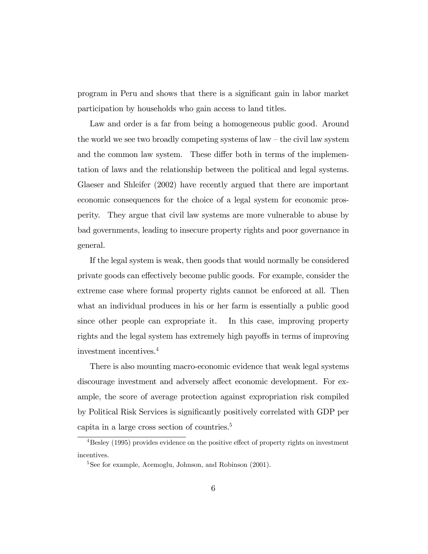program in Peru and shows that there is a significant gain in labor market participation by households who gain access to land titles.

Law and order is a far from being a homogeneous public good. Around the world we see two broadly competing systems of law  $-$  the civil law system and the common law system. These differ both in terms of the implementation of laws and the relationship between the political and legal systems. Glaeser and Shleifer (2002) have recently argued that there are important economic consequences for the choice of a legal system for economic prosperity. They argue that civil law systems are more vulnerable to abuse by bad governments, leading to insecure property rights and poor governance in general.

If the legal system is weak, then goods that would normally be considered private goods can effectively become public goods. For example, consider the extreme case where formal property rights cannot be enforced at all. Then what an individual produces in his or her farm is essentially a public good since other people can expropriate it. In this case, improving property rights and the legal system has extremely high payoffs in terms of improving investment incentives.<sup>4</sup>

There is also mounting macro-economic evidence that weak legal systems discourage investment and adversely affect economic development. For example, the score of average protection against expropriation risk compiled by Political Risk Services is significantly positively correlated with GDP per capita in a large cross section of countries.<sup>5</sup>

 $4$ Besley (1995) provides evidence on the positive effect of property rights on investment incentives.

<sup>&</sup>lt;sup>5</sup>See for example, Acemoglu, Johnson, and Robinson (2001).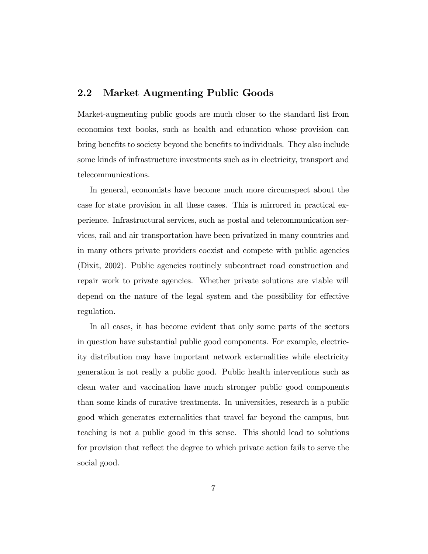#### 2.2 Market Augmenting Public Goods

Market-augmenting public goods are much closer to the standard list from economics text books, such as health and education whose provision can bring benefits to society beyond the benefits to individuals. They also include some kinds of infrastructure investments such as in electricity, transport and telecommunications.

In general, economists have become much more circumspect about the case for state provision in all these cases. This is mirrored in practical experience. Infrastructural services, such as postal and telecommunication services, rail and air transportation have been privatized in many countries and in many others private providers coexist and compete with public agencies (Dixit, 2002). Public agencies routinely subcontract road construction and repair work to private agencies. Whether private solutions are viable will depend on the nature of the legal system and the possibility for effective regulation.

In all cases, it has become evident that only some parts of the sectors in question have substantial public good components. For example, electricity distribution may have important network externalities while electricity generation is not really a public good. Public health interventions such as clean water and vaccination have much stronger public good components than some kinds of curative treatments. In universities, research is a public good which generates externalities that travel far beyond the campus, but teaching is not a public good in this sense. This should lead to solutions for provision that reflect the degree to which private action fails to serve the social good.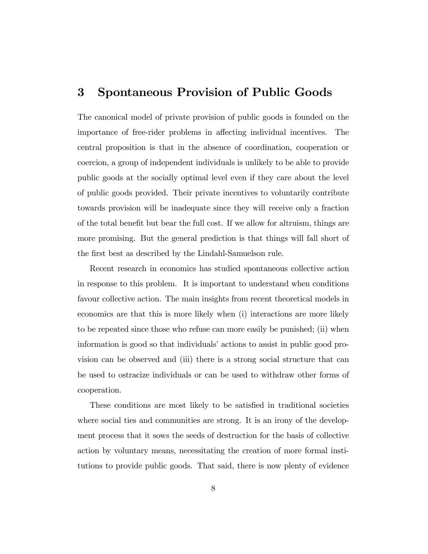### 3 Spontaneous Provision of Public Goods

The canonical model of private provision of public goods is founded on the importance of free-rider problems in affecting individual incentives. The central proposition is that in the absence of coordination, cooperation or coercion, a group of independent individuals is unlikely to be able to provide public goods at the socially optimal level even if they care about the level of public goods provided. Their private incentives to voluntarily contribute towards provision will be inadequate since they will receive only a fraction of the total benefit but bear the full cost. If we allow for altruism, things are more promising. But the general prediction is that things will fall short of the first best as described by the Lindahl-Samuelson rule.

Recent research in economics has studied spontaneous collective action in response to this problem. It is important to understand when conditions favour collective action. The main insights from recent theoretical models in economics are that this is more likely when (i) interactions are more likely to be repeated since those who refuse can more easily be punished; (ii) when information is good so that individuals' actions to assist in public good provision can be observed and (iii) there is a strong social structure that can be used to ostracize individuals or can be used to withdraw other forms of cooperation.

These conditions are most likely to be satisfied in traditional societies where social ties and communities are strong. It is an irony of the development process that it sows the seeds of destruction for the basis of collective action by voluntary means, necessitating the creation of more formal institutions to provide public goods. That said, there is now plenty of evidence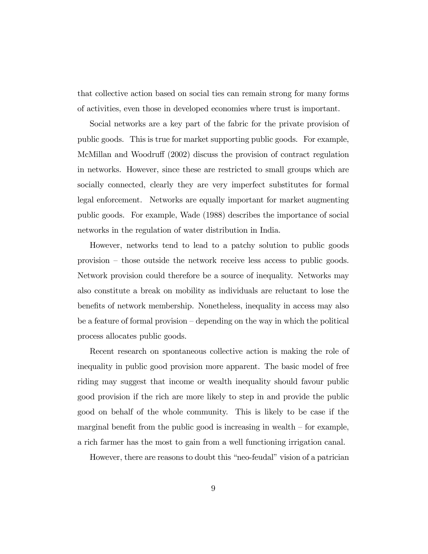that collective action based on social ties can remain strong for many forms of activities, even those in developed economies where trust is important.

Social networks are a key part of the fabric for the private provision of public goods. This is true for market supporting public goods. For example, McMillan and Woodruff (2002) discuss the provision of contract regulation in networks. However, since these are restricted to small groups which are socially connected, clearly they are very imperfect substitutes for formal legal enforcement. Networks are equally important for market augmenting public goods. For example, Wade (1988) describes the importance of social networks in the regulation of water distribution in India.

However, networks tend to lead to a patchy solution to public goods provision  $-$  those outside the network receive less access to public goods. Network provision could therefore be a source of inequality. Networks may also constitute a break on mobility as individuals are reluctant to lose the benefits of network membership. Nonetheless, inequality in access may also be a feature of formal provision  $-\tilde{\theta}$  depending on the way in which the political process allocates public goods.

Recent research on spontaneous collective action is making the role of inequality in public good provision more apparent. The basic model of free riding may suggest that income or wealth inequality should favour public good provision if the rich are more likely to step in and provide the public good on behalf of the whole community. This is likely to be case if the marginal benefit from the public good is increasing in wealth  $\overline{\phantom{a}}$  for example, a rich farmer has the most to gain from a well functioning irrigation canal.

However, there are reasons to doubt this "neo-feudal" vision of a patrician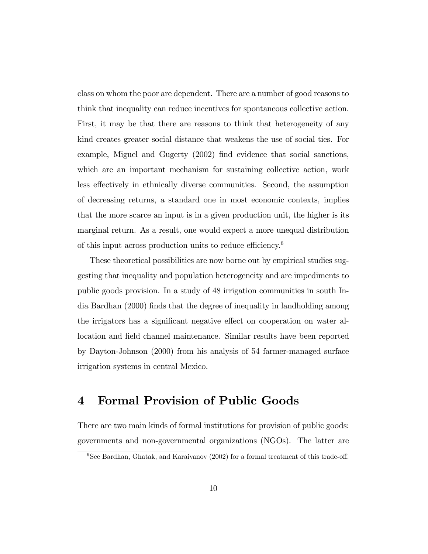class on whom the poor are dependent. There are a number of good reasons to think that inequality can reduce incentives for spontaneous collective action. First, it may be that there are reasons to think that heterogeneity of any kind creates greater social distance that weakens the use of social ties. For example, Miguel and Gugerty (2002) find evidence that social sanctions, which are an important mechanism for sustaining collective action, work less effectively in ethnically diverse communities. Second, the assumption of decreasing returns, a standard one in most economic contexts, implies that the more scarce an input is in a given production unit, the higher is its marginal return. As a result, one would expect a more unequal distribution of this input across production units to reduce efficiency.<sup>6</sup>

These theoretical possibilities are now borne out by empirical studies suggesting that inequality and population heterogeneity and are impediments to public goods provision. In a study of 48 irrigation communities in south India Bardhan (2000) finds that the degree of inequality in landholding among the irrigators has a significant negative effect on cooperation on water allocation and field channel maintenance. Similar results have been reported by Dayton-Johnson (2000) from his analysis of 54 farmer-managed surface irrigation systems in central Mexico.

# 4 Formal Provision of Public Goods

There are two main kinds of formal institutions for provision of public goods: governments and non-governmental organizations (NGOs). The latter are

 $6$ See Bardhan, Ghatak, and Karaivanov (2002) for a formal treatment of this trade-off.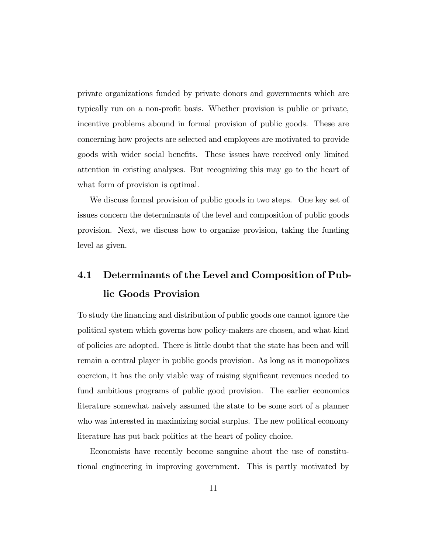private organizations funded by private donors and governments which are typically run on a non-profit basis. Whether provision is public or private, incentive problems abound in formal provision of public goods. These are concerning how projects are selected and employees are motivated to provide goods with wider social benefits. These issues have received only limited attention in existing analyses. But recognizing this may go to the heart of what form of provision is optimal.

We discuss formal provision of public goods in two steps. One key set of issues concern the determinants of the level and composition of public goods provision. Next, we discuss how to organize provision, taking the funding level as given.

# 4.1 Determinants of the Level and Composition of Public Goods Provision

To study the Önancing and distribution of public goods one cannot ignore the political system which governs how policy-makers are chosen, and what kind of policies are adopted. There is little doubt that the state has been and will remain a central player in public goods provision. As long as it monopolizes coercion, it has the only viable way of raising significant revenues needed to fund ambitious programs of public good provision. The earlier economics literature somewhat naively assumed the state to be some sort of a planner who was interested in maximizing social surplus. The new political economy literature has put back politics at the heart of policy choice.

Economists have recently become sanguine about the use of constitutional engineering in improving government. This is partly motivated by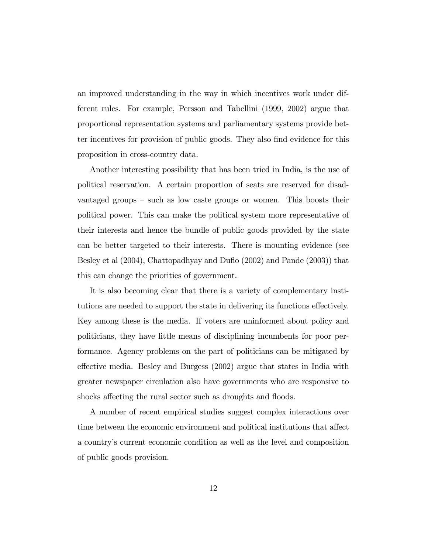an improved understanding in the way in which incentives work under different rules. For example, Persson and Tabellini (1999, 2002) argue that proportional representation systems and parliamentary systems provide better incentives for provision of public goods. They also find evidence for this proposition in cross-country data.

Another interesting possibility that has been tried in India, is the use of political reservation. A certain proportion of seats are reserved for disadvantaged groups  $-$  such as low caste groups or women. This boosts their political power. This can make the political system more representative of their interests and hence the bundle of public goods provided by the state can be better targeted to their interests. There is mounting evidence (see Besley et al (2004), Chattopadhyay and Duflo (2002) and Pande (2003)) that this can change the priorities of government.

It is also becoming clear that there is a variety of complementary institutions are needed to support the state in delivering its functions effectively. Key among these is the media. If voters are uninformed about policy and politicians, they have little means of disciplining incumbents for poor performance. Agency problems on the part of politicians can be mitigated by effective media. Besley and Burgess  $(2002)$  argue that states in India with greater newspaper circulation also have governments who are responsive to shocks affecting the rural sector such as droughts and floods.

A number of recent empirical studies suggest complex interactions over time between the economic environment and political institutions that affect a countryís current economic condition as well as the level and composition of public goods provision.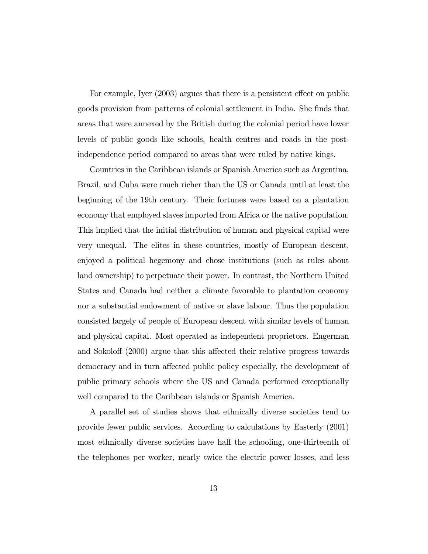For example, Iyer (2003) argues that there is a persistent effect on public goods provision from patterns of colonial settlement in India. She Önds that areas that were annexed by the British during the colonial period have lower levels of public goods like schools, health centres and roads in the postindependence period compared to areas that were ruled by native kings.

Countries in the Caribbean islands or Spanish America such as Argentina, Brazil, and Cuba were much richer than the US or Canada until at least the beginning of the 19th century. Their fortunes were based on a plantation economy that employed slaves imported from Africa or the native population. This implied that the initial distribution of human and physical capital were very unequal. The elites in these countries, mostly of European descent, enjoyed a political hegemony and chose institutions (such as rules about land ownership) to perpetuate their power. In contrast, the Northern United States and Canada had neither a climate favorable to plantation economy nor a substantial endowment of native or slave labour. Thus the population consisted largely of people of European descent with similar levels of human and physical capital. Most operated as independent proprietors. Engerman and Sokoloff (2000) argue that this affected their relative progress towards democracy and in turn affected public policy especially, the development of public primary schools where the US and Canada performed exceptionally well compared to the Caribbean islands or Spanish America.

A parallel set of studies shows that ethnically diverse societies tend to provide fewer public services. According to calculations by Easterly (2001) most ethnically diverse societies have half the schooling, one-thirteenth of the telephones per worker, nearly twice the electric power losses, and less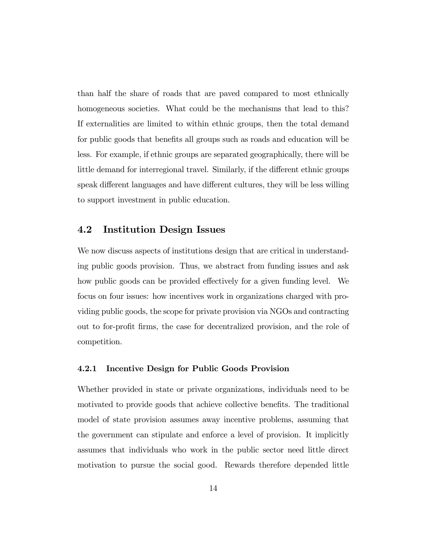than half the share of roads that are paved compared to most ethnically homogeneous societies. What could be the mechanisms that lead to this? If externalities are limited to within ethnic groups, then the total demand for public goods that benefits all groups such as roads and education will be less. For example, if ethnic groups are separated geographically, there will be little demand for interregional travel. Similarly, if the different ethnic groups speak different languages and have different cultures, they will be less willing to support investment in public education.

#### 4.2 Institution Design Issues

We now discuss aspects of institutions design that are critical in understanding public goods provision. Thus, we abstract from funding issues and ask how public goods can be provided effectively for a given funding level. We focus on four issues: how incentives work in organizations charged with providing public goods, the scope for private provision via NGOs and contracting out to for-profit firms, the case for decentralized provision, and the role of competition.

#### 4.2.1 Incentive Design for Public Goods Provision

Whether provided in state or private organizations, individuals need to be motivated to provide goods that achieve collective benefits. The traditional model of state provision assumes away incentive problems, assuming that the government can stipulate and enforce a level of provision. It implicitly assumes that individuals who work in the public sector need little direct motivation to pursue the social good. Rewards therefore depended little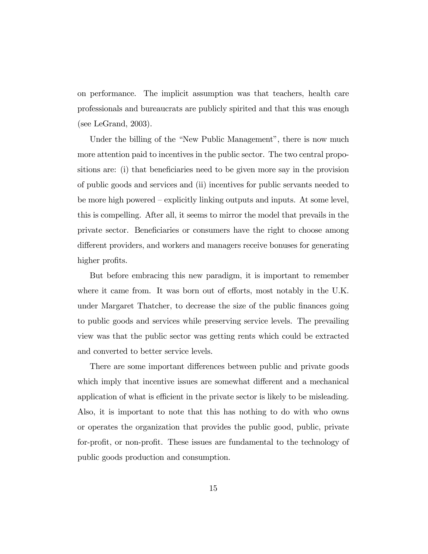on performance. The implicit assumption was that teachers, health care professionals and bureaucrats are publicly spirited and that this was enough (see LeGrand, 2003).

Under the billing of the "New Public Management", there is now much more attention paid to incentives in the public sector. The two central propositions are: (i) that beneficiaries need to be given more say in the provision of public goods and services and (ii) incentives for public servants needed to be more high powered  $-\frac{1}{x}$  explicitly linking outputs and inputs. At some level, this is compelling. After all, it seems to mirror the model that prevails in the private sector. Beneficiaries or consumers have the right to choose among different providers, and workers and managers receive bonuses for generating higher profits.

But before embracing this new paradigm, it is important to remember where it came from. It was born out of efforts, most notably in the U.K. under Margaret Thatcher, to decrease the size of the public finances going to public goods and services while preserving service levels. The prevailing view was that the public sector was getting rents which could be extracted and converted to better service levels.

There are some important differences between public and private goods which imply that incentive issues are somewhat different and a mechanical application of what is efficient in the private sector is likely to be misleading. Also, it is important to note that this has nothing to do with who owns or operates the organization that provides the public good, public, private for-profit, or non-profit. These issues are fundamental to the technology of public goods production and consumption.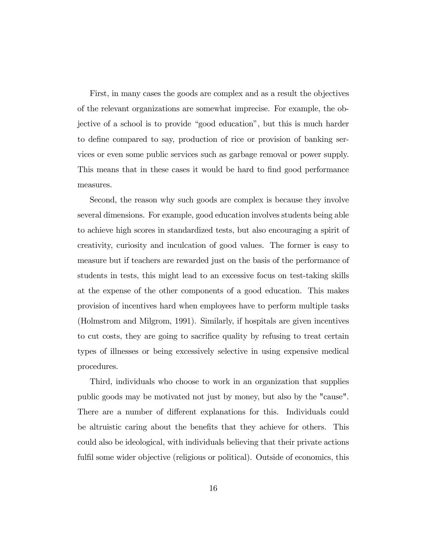First, in many cases the goods are complex and as a result the objectives of the relevant organizations are somewhat imprecise. For example, the objective of a school is to provide "good education", but this is much harder to define compared to say, production of rice or provision of banking services or even some public services such as garbage removal or power supply. This means that in these cases it would be hard to find good performance measures.

Second, the reason why such goods are complex is because they involve several dimensions. For example, good education involves students being able to achieve high scores in standardized tests, but also encouraging a spirit of creativity, curiosity and inculcation of good values. The former is easy to measure but if teachers are rewarded just on the basis of the performance of students in tests, this might lead to an excessive focus on test-taking skills at the expense of the other components of a good education. This makes provision of incentives hard when employees have to perform multiple tasks (Holmstrom and Milgrom, 1991). Similarly, if hospitals are given incentives to cut costs, they are going to sacrifice quality by refusing to treat certain types of illnesses or being excessively selective in using expensive medical procedures.

Third, individuals who choose to work in an organization that supplies public goods may be motivated not just by money, but also by the "cause". There are a number of different explanations for this. Individuals could be altruistic caring about the benefits that they achieve for others. This could also be ideological, with individuals believing that their private actions fulfil some wider objective (religious or political). Outside of economics, this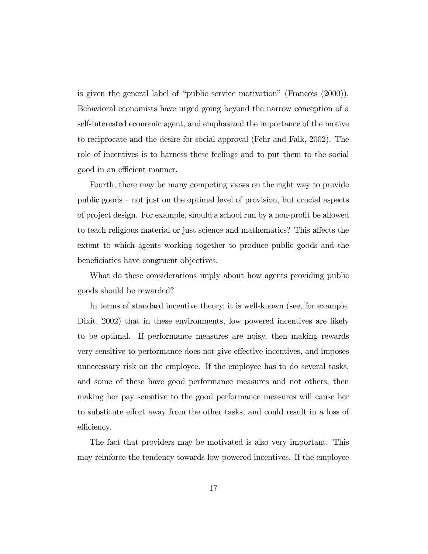is given the general label of "public service motivation" (Francois  $(2000)$ ). Behavioral economists have urged going beyond the narrow conception of a self-interested economic agent, and emphasized the importance of the motive to reciprocate and the desire for social approval (Fehr and Falk, 2002). The role of incentives is to harness these feelings and to put them to the social good in an efficient manner.

Fourth, there may be many competing views on the right way to provide public goods  $-$  not just on the optimal level of provision, but crucial aspects of project design. For example, should a school run by a non-profit be allowed to teach religious material or just science and mathematics? This affects the extent to which agents working together to produce public goods and the beneficiaries have congruent objectives.

What do these considerations imply about how agents providing public goods should be rewarded?

In terms of standard incentive theory, it is well-known (see, for example, Dixit, 2002) that in these environments, low powered incentives are likely to be optimal. If performance measures are noisy, then making rewards very sensitive to performance does not give effective incentives, and imposes unnecessary risk on the employee. If the employee has to do several tasks, and some of these have good performance measures and not others, then making her pay sensitive to the good performance measures will cause her to substitute effort away from the other tasks, and could result in a loss of efficiency.

The fact that providers may be motivated is also very important. This may reinforce the tendency towards low powered incentives. If the employee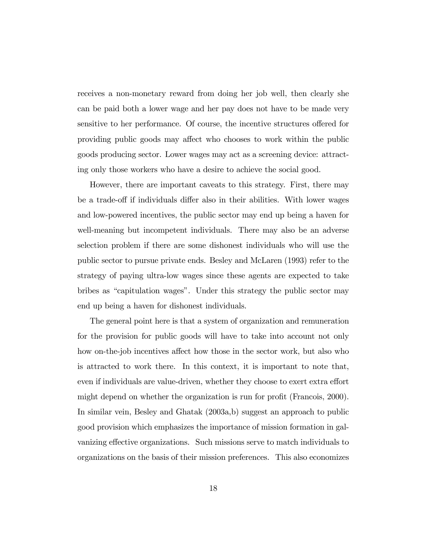receives a non-monetary reward from doing her job well, then clearly she can be paid both a lower wage and her pay does not have to be made very sensitive to her performance. Of course, the incentive structures offered for providing public goods may affect who chooses to work within the public goods producing sector. Lower wages may act as a screening device: attracting only those workers who have a desire to achieve the social good.

However, there are important caveats to this strategy. First, there may be a trade-off if individuals differ also in their abilities. With lower wages and low-powered incentives, the public sector may end up being a haven for well-meaning but incompetent individuals. There may also be an adverse selection problem if there are some dishonest individuals who will use the public sector to pursue private ends. Besley and McLaren (1993) refer to the strategy of paying ultra-low wages since these agents are expected to take bribes as "capitulation wages". Under this strategy the public sector may end up being a haven for dishonest individuals.

The general point here is that a system of organization and remuneration for the provision for public goods will have to take into account not only how on-the-job incentives affect how those in the sector work, but also who is attracted to work there. In this context, it is important to note that, even if individuals are value-driven, whether they choose to exert extra effort might depend on whether the organization is run for profit (Francois, 2000). In similar vein, Besley and Ghatak (2003a,b) suggest an approach to public good provision which emphasizes the importance of mission formation in galvanizing effective organizations. Such missions serve to match individuals to organizations on the basis of their mission preferences. This also economizes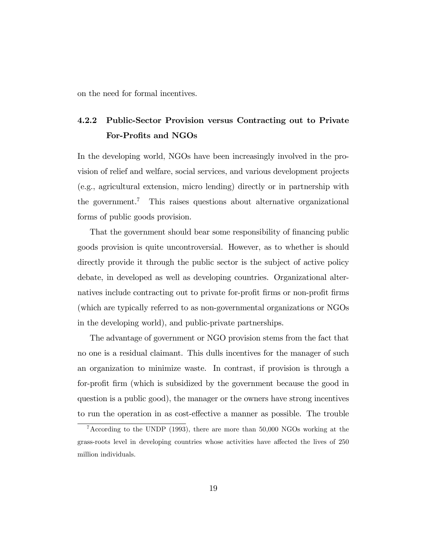on the need for formal incentives.

## 4.2.2 Public-Sector Provision versus Contracting out to Private For-Profits and NGOs

In the developing world, NGOs have been increasingly involved in the provision of relief and welfare, social services, and various development projects (e.g., agricultural extension, micro lending) directly or in partnership with the government.<sup>7</sup> This raises questions about alternative organizational forms of public goods provision.

That the government should bear some responsibility of financing public goods provision is quite uncontroversial. However, as to whether is should directly provide it through the public sector is the subject of active policy debate, in developed as well as developing countries. Organizational alternatives include contracting out to private for-profit firms or non-profit firms (which are typically referred to as non-governmental organizations or NGOs in the developing world), and public-private partnerships.

The advantage of government or NGO provision stems from the fact that no one is a residual claimant. This dulls incentives for the manager of such an organization to minimize waste. In contrast, if provision is through a for-profit firm (which is subsidized by the government because the good in question is a public good), the manager or the owners have strong incentives to run the operation in as cost-effective a manner as possible. The trouble

<sup>7</sup>According to the UNDP (1993), there are more than 50,000 NGOs working at the grass-roots level in developing countries whose activities have affected the lives of 250 million individuals.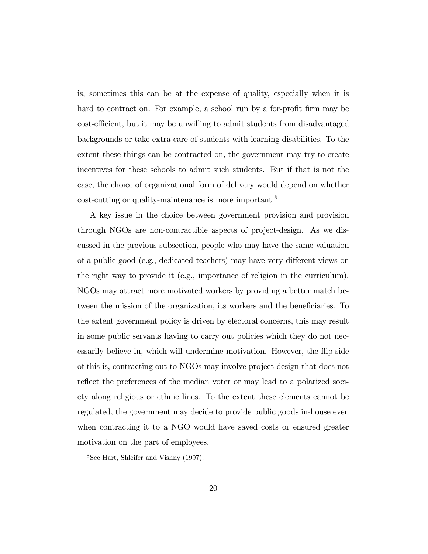is, sometimes this can be at the expense of quality, especially when it is hard to contract on. For example, a school run by a for-profit firm may be cost-efficient, but it may be unwilling to admit students from disadvantaged backgrounds or take extra care of students with learning disabilities. To the extent these things can be contracted on, the government may try to create incentives for these schools to admit such students. But if that is not the case, the choice of organizational form of delivery would depend on whether cost-cutting or quality-maintenance is more important.<sup>8</sup>

A key issue in the choice between government provision and provision through NGOs are non-contractible aspects of project-design. As we discussed in the previous subsection, people who may have the same valuation of a public good (e.g., dedicated teachers) may have very different views on the right way to provide it (e.g., importance of religion in the curriculum). NGOs may attract more motivated workers by providing a better match between the mission of the organization, its workers and the beneficiaries. To the extent government policy is driven by electoral concerns, this may result in some public servants having to carry out policies which they do not necessarily believe in, which will undermine motivation. However, the flip-side of this is, contracting out to NGOs may involve project-design that does not reflect the preferences of the median voter or may lead to a polarized soci-ety along religious or ethnic lines. To the extent these elements cannot be regulated, the government may decide to provide public goods in-house even when contracting it to a NGO would have saved costs or ensured greater motivation on the part of employees.

<sup>8</sup>See Hart, Shleifer and Vishny (1997).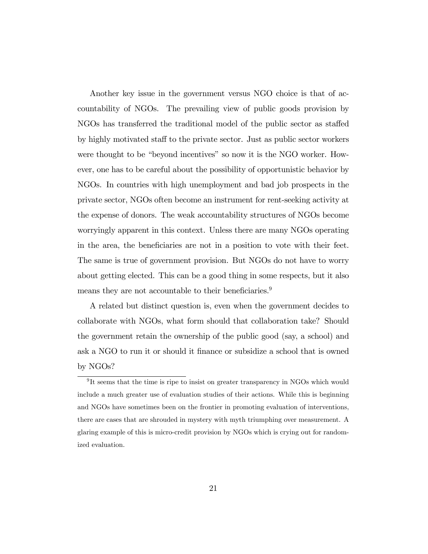Another key issue in the government versus NGO choice is that of accountability of NGOs. The prevailing view of public goods provision by NGOs has transferred the traditional model of the public sector as staffed by highly motivated staff to the private sector. Just as public sector workers were thought to be "beyond incentives" so now it is the NGO worker. However, one has to be careful about the possibility of opportunistic behavior by NGOs. In countries with high unemployment and bad job prospects in the private sector, NGOs often become an instrument for rent-seeking activity at the expense of donors. The weak accountability structures of NGOs become worryingly apparent in this context. Unless there are many NGOs operating in the area, the beneficiaries are not in a position to vote with their feet. The same is true of government provision. But NGOs do not have to worry about getting elected. This can be a good thing in some respects, but it also means they are not accountable to their beneficiaries.<sup>9</sup>

A related but distinct question is, even when the government decides to collaborate with NGOs, what form should that collaboration take? Should the government retain the ownership of the public good (say, a school) and ask a NGO to run it or should it Önance or subsidize a school that is owned by NGOs?

<sup>&</sup>lt;sup>9</sup>It seems that the time is ripe to insist on greater transparency in NGOs which would include a much greater use of evaluation studies of their actions. While this is beginning and NGOs have sometimes been on the frontier in promoting evaluation of interventions, there are cases that are shrouded in mystery with myth triumphing over measurement. A glaring example of this is micro-credit provision by NGOs which is crying out for randomized evaluation.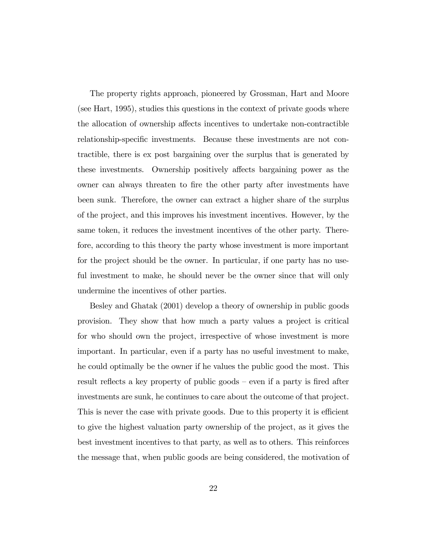The property rights approach, pioneered by Grossman, Hart and Moore (see Hart, 1995), studies this questions in the context of private goods where the allocation of ownership affects incentives to undertake non-contractible relationship-specific investments. Because these investments are not contractible, there is ex post bargaining over the surplus that is generated by these investments. Ownership positively affects bargaining power as the owner can always threaten to Öre the other party after investments have been sunk. Therefore, the owner can extract a higher share of the surplus of the project, and this improves his investment incentives. However, by the same token, it reduces the investment incentives of the other party. Therefore, according to this theory the party whose investment is more important for the project should be the owner. In particular, if one party has no useful investment to make, he should never be the owner since that will only undermine the incentives of other parties.

Besley and Ghatak (2001) develop a theory of ownership in public goods provision. They show that how much a party values a project is critical for who should own the project, irrespective of whose investment is more important. In particular, even if a party has no useful investment to make, he could optimally be the owner if he values the public good the most. This result reflects a key property of public goods – even if a party is fired after investments are sunk, he continues to care about the outcome of that project. This is never the case with private goods. Due to this property it is efficient to give the highest valuation party ownership of the project, as it gives the best investment incentives to that party, as well as to others. This reinforces the message that, when public goods are being considered, the motivation of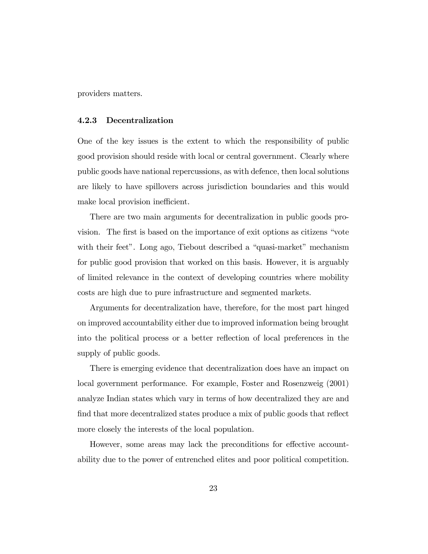providers matters.

#### 4.2.3 Decentralization

One of the key issues is the extent to which the responsibility of public good provision should reside with local or central government. Clearly where public goods have national repercussions, as with defence, then local solutions are likely to have spillovers across jurisdiction boundaries and this would make local provision inefficient.

There are two main arguments for decentralization in public goods provision. The first is based on the importance of exit options as citizens "vote with their feet". Long ago, Tiebout described a "quasi-market" mechanism for public good provision that worked on this basis. However, it is arguably of limited relevance in the context of developing countries where mobility costs are high due to pure infrastructure and segmented markets.

Arguments for decentralization have, therefore, for the most part hinged on improved accountability either due to improved information being brought into the political process or a better reflection of local preferences in the supply of public goods.

There is emerging evidence that decentralization does have an impact on local government performance. For example, Foster and Rosenzweig (2001) analyze Indian states which vary in terms of how decentralized they are and find that more decentralized states produce a mix of public goods that reflect more closely the interests of the local population.

However, some areas may lack the preconditions for effective accountability due to the power of entrenched elites and poor political competition.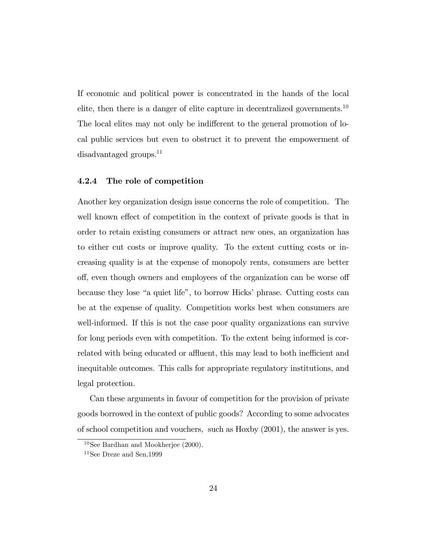If economic and political power is concentrated in the hands of the local elite, then there is a danger of elite capture in decentralized governments.<sup>10</sup> The local elites may not only be indifferent to the general promotion of local public services but even to obstruct it to prevent the empowerment of disadvantaged groups.<sup>11</sup>

#### 4.2.4 The role of competition

Another key organization design issue concerns the role of competition. The well known effect of competition in the context of private goods is that in order to retain existing consumers or attract new ones, an organization has to either cut costs or improve quality. To the extent cutting costs or increasing quality is at the expense of monopoly rents, consumers are better off, even though owners and employees of the organization can be worse off because they lose "a quiet life", to borrow Hicks' phrase. Cutting costs can be at the expense of quality. Competition works best when consumers are well-informed. If this is not the case poor quality organizations can survive for long periods even with competition. To the extent being informed is correlated with being educated or affluent, this may lead to both inefficient and inequitable outcomes. This calls for appropriate regulatory institutions, and legal protection.

Can these arguments in favour of competition for the provision of private goods borrowed in the context of public goods? According to some advocates of school competition and vouchers, such as Hoxby (2001), the answer is yes.

 $10$ See Bardhan and Mookherjee (2000).

 $11$ See Dreze and Sen, 1999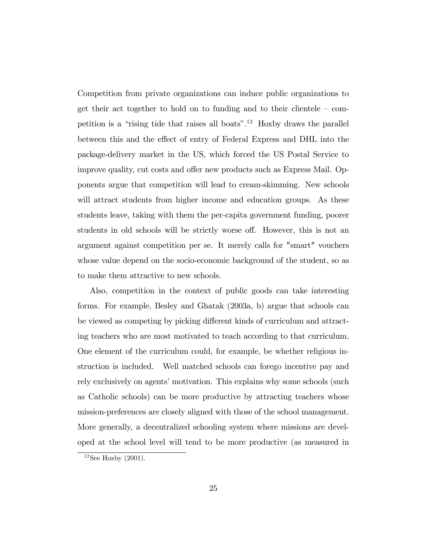Competition from private organizations can induce public organizations to get their act together to hold on to funding and to their clientele  $-$  competition is a "rising tide that raises all boats".<sup>12</sup> Hoxby draws the parallel between this and the effect of entry of Federal Express and DHL into the package-delivery market in the US, which forced the US Postal Service to improve quality, cut costs and offer new products such as Express Mail. Opponents argue that competition will lead to cream-skimming. New schools will attract students from higher income and education groups. As these students leave, taking with them the per-capita government funding, poorer students in old schools will be strictly worse off. However, this is not an argument against competition per se. It merely calls for "smart" vouchers whose value depend on the socio-economic background of the student, so as to make them attractive to new schools.

Also, competition in the context of public goods can take interesting forms. For example, Besley and Ghatak (2003a, b) argue that schools can be viewed as competing by picking different kinds of curriculum and attracting teachers who are most motivated to teach according to that curriculum. One element of the curriculum could, for example, be whether religious instruction is included. Well matched schools can forego incentive pay and rely exclusively on agents' motivation. This explains why some schools (such as Catholic schools) can be more productive by attracting teachers whose mission-preferences are closely aligned with those of the school management. More generally, a decentralized schooling system where missions are developed at the school level will tend to be more productive (as measured in

 $12$ See Hoxby (2001).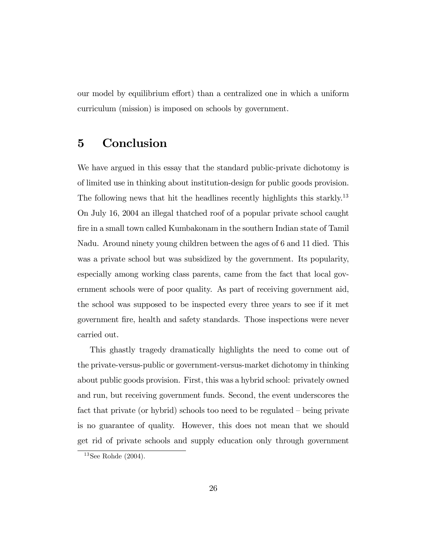our model by equilibrium effort) than a centralized one in which a uniform curriculum (mission) is imposed on schools by government.

### 5 Conclusion

We have argued in this essay that the standard public-private dichotomy is of limited use in thinking about institution-design for public goods provision. The following news that hit the headlines recently highlights this starkly.<sup>13</sup> On July 16, 2004 an illegal thatched roof of a popular private school caught Öre in a small town called Kumbakonam in the southern Indian state of Tamil Nadu. Around ninety young children between the ages of 6 and 11 died. This was a private school but was subsidized by the government. Its popularity, especially among working class parents, came from the fact that local government schools were of poor quality. As part of receiving government aid, the school was supposed to be inspected every three years to see if it met government Öre, health and safety standards. Those inspections were never carried out.

This ghastly tragedy dramatically highlights the need to come out of the private-versus-public or government-versus-market dichotomy in thinking about public goods provision. First, this was a hybrid school: privately owned and run, but receiving government funds. Second, the event underscores the fact that private (or hybrid) schools too need to be regulated  $-\overline{\text{being private}}$ is no guarantee of quality. However, this does not mean that we should get rid of private schools and supply education only through government

 $13$ See Rohde (2004).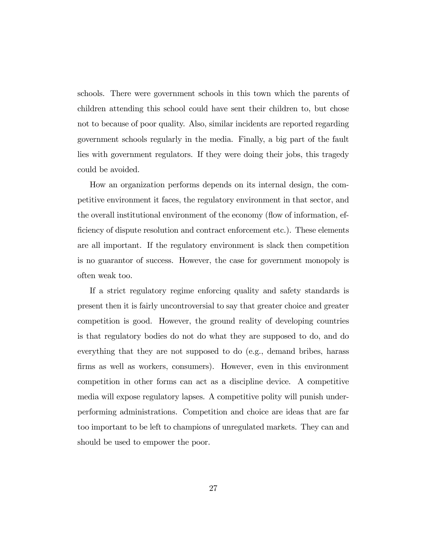schools. There were government schools in this town which the parents of children attending this school could have sent their children to, but chose not to because of poor quality. Also, similar incidents are reported regarding government schools regularly in the media. Finally, a big part of the fault lies with government regulators. If they were doing their jobs, this tragedy could be avoided.

How an organization performs depends on its internal design, the competitive environment it faces, the regulatory environment in that sector, and the overall institutional environment of the economy (flow of information, efficiency of dispute resolution and contract enforcement etc.). These elements are all important. If the regulatory environment is slack then competition is no guarantor of success. However, the case for government monopoly is often weak too.

If a strict regulatory regime enforcing quality and safety standards is present then it is fairly uncontroversial to say that greater choice and greater competition is good. However, the ground reality of developing countries is that regulatory bodies do not do what they are supposed to do, and do everything that they are not supposed to do (e.g., demand bribes, harass Örms as well as workers, consumers). However, even in this environment competition in other forms can act as a discipline device. A competitive media will expose regulatory lapses. A competitive polity will punish underperforming administrations. Competition and choice are ideas that are far too important to be left to champions of unregulated markets. They can and should be used to empower the poor.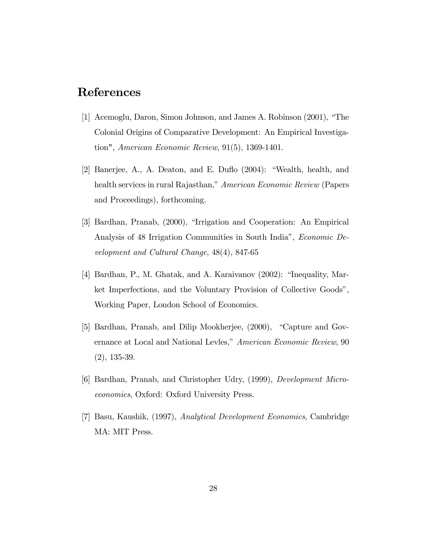# References

- [1] Acemoglu, Daron, Simon Johnson, and James A. Robinson (2001), "The Colonial Origins of Comparative Development: An Empirical Investigation", American Economic Review, 91(5), 1369-1401.
- [2] Banerjee, A., A. Deaton, and E. Duflo  $(2004)$ : "Wealth, health, and health services in rural Rajasthan," American Economic Review (Papers and Proceedings), forthcoming.
- [3] Bardhan, Pranab, (2000), "Irrigation and Cooperation: An Empirical Analysis of 48 Irrigation Communities in South India", *Economic De*velopment and Cultural Change, 48(4), 847-65
- [4] Bardhan, P., M. Ghatak, and A. Karaivanov  $(2002)$ : "Inequality, Market Imperfections, and the Voluntary Provision of Collective Goods", Working Paper, London School of Economics.
- [5] Bardhan, Pranab, and Dilip Mookherjee, (2000), "Capture and Governance at Local and National Levles," American Economic Review, 90 (2), 135-39.
- [6] Bardhan, Pranab, and Christopher Udry, (1999), Development Microeconomics, Oxford: Oxford University Press.
- [7] Basu, Kaushik, (1997), Analytical Development Economics, Cambridge MA: MIT Press.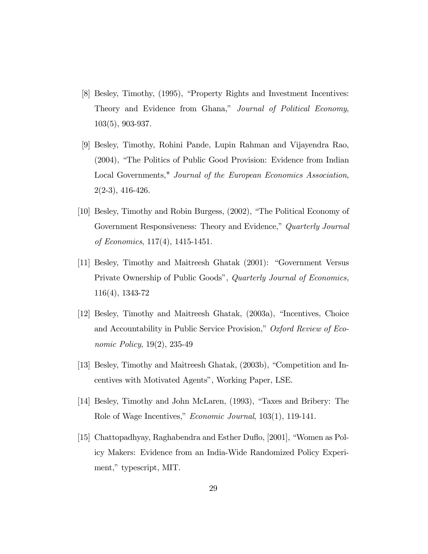- [8] Besley, Timothy, (1995), "Property Rights and Investment Incentives: Theory and Evidence from Ghana," Journal of Political Economy, 103(5), 903-937.
- [9] Besley, Timothy, Rohini Pande, Lupin Rahman and Vijayendra Rao, (2004), "The Politics of Public Good Provision: Evidence from Indian Local Governments," Journal of the European Economics Association,  $2(2-3), 416-426.$
- [10] Besley, Timothy and Robin Burgess, (2002), "The Political Economy of Government Responsiveness: Theory and Evidence," Quarterly Journal of Economics, 117(4), 1415-1451.
- [11] Besley, Timothy and Maitreesh Ghatak (2001): "Government Versus Private Ownership of Public Goods", Quarterly Journal of Economics, 116(4), 1343-72
- $[12]$  Besley, Timothy and Maitreesh Ghatak,  $(2003a)$ , "Incentives, Choice and Accountability in Public Service Provision," Oxford Review of Economic Policy, 19(2), 235-49
- [13] Besley, Timothy and Maitreesh Ghatak, (2003b), "Competition and Incentives with Motivated Agents", Working Paper, LSE.
- [14] Besley, Timothy and John McLaren, (1993), "Taxes and Bribery: The Role of Wage Incentives,"  $Economic\ Journal$ , 103(1), 119-141.
- [15] Chattopadhyay, Raghabendra and Esther Duflo, [2001], "Women as Policy Makers: Evidence from an India-Wide Randomized Policy Experiment," typescript, MIT.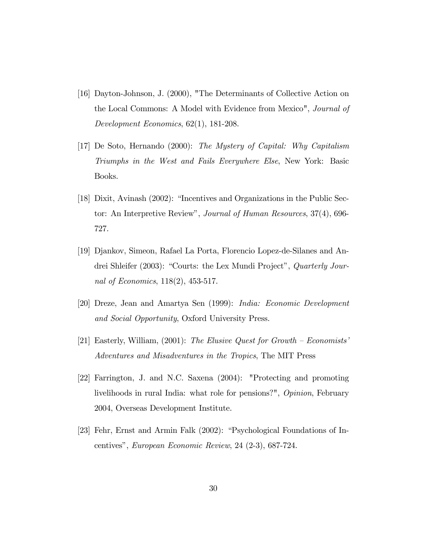- [16] Dayton-Johnson, J. (2000), "The Determinants of Collective Action on the Local Commons: A Model with Evidence from Mexico", Journal of Development Economics, 62(1), 181-208.
- [17] De Soto, Hernando (2000): The Mystery of Capital: Why Capitalism Triumphs in the West and Fails Everywhere Else, New York: Basic Books.
- [18] Dixit, Avinash  $(2002)$ : "Incentives and Organizations in the Public Sector: An Interpretive Review", Journal of Human Resources, 37(4), 696-727.
- [19] Djankov, Simeon, Rafael La Porta, Florencio Lopez-de-Silanes and Andrei Shleifer (2003): "Courts: the Lex Mundi Project", Quarterly Journal of Economics, 118(2), 453-517.
- [20] Dreze, Jean and Amartya Sen (1999): India: Economic Development and Social Opportunity, Oxford University Press.
- [21] Easterly, William,  $(2001)$ : The Elusive Quest for Growth Economists<sup>†</sup> Adventures and Misadventures in the Tropics, The MIT Press
- [22] Farrington, J. and N.C. Saxena (2004): "Protecting and promoting livelihoods in rural India: what role for pensions?", Opinion, February 2004, Overseas Development Institute.
- [23] Fehr, Ernst and Armin Falk (2002): "Psychological Foundations of Incentivesî, European Economic Review, 24 (2-3), 687-724.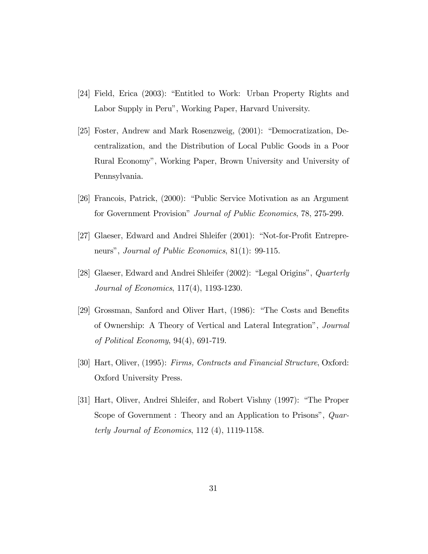- [24] Field, Erica (2003): "Entitled to Work: Urban Property Rights and Labor Supply in Peru", Working Paper, Harvard University.
- [25] Foster, Andrew and Mark Rosenzweig,  $(2001)$ : "Democratization, Decentralization, and the Distribution of Local Public Goods in a Poor Rural Economyî, Working Paper, Brown University and University of Pennsylvania.
- [26] Francois, Patrick, (2000): "Public Service Motivation as an Argument for Government Provision" Journal of Public Economics, 78, 275-299.
- [27] Glaeser, Edward and Andrei Shleifer (2001): "Not-for-Profit Entrepreneurs", Journal of Public Economics, 81(1): 99-115.
- [28] Glaeser, Edward and Andrei Shleifer (2002): "Legal Origins", *Quarterly* Journal of Economics, 117(4), 1193-1230.
- [29] Grossman, Sanford and Oliver Hart, (1986): "The Costs and Benefits of Ownership: A Theory of Vertical and Lateral Integrationî, Journal of Political Economy, 94(4), 691-719.
- [30] Hart, Oliver, (1995): Firms, Contracts and Financial Structure, Oxford: Oxford University Press.
- [31] Hart, Oliver, Andrei Shleifer, and Robert Vishny (1997): "The Proper Scope of Government : Theory and an Application to Prisons",  $Quar$ terly Journal of Economics, 112 (4), 1119-1158.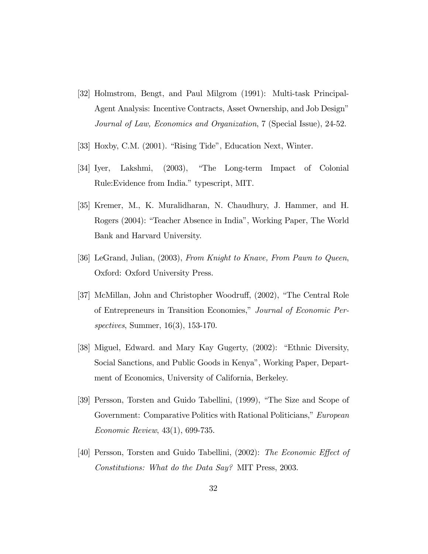- [32] Holmstrom, Bengt, and Paul Milgrom (1991): Multi-task Principal-Agent Analysis: Incentive Contracts, Asset Ownership, and Job Designî Journal of Law, Economics and Organization, 7 (Special Issue), 24-52.
- [33] Hoxby, C.M. (2001). "Rising Tide", Education Next, Winter.
- [34] Iyer, Lakshmi, (2003), "The Long-term Impact of Colonial Rule: Evidence from India." typescript, MIT.
- [35] Kremer, M., K. Muralidharan, N. Chaudhury, J. Hammer, and H. Rogers (2004): "Teacher Absence in India", Working Paper, The World Bank and Harvard University.
- [36] LeGrand, Julian, (2003), From Knight to Knave, From Pawn to Queen, Oxford: Oxford University Press.
- [37] McMillan, John and Christopher Woodruff, (2002), "The Central Role of Entrepreneurs in Transition Economies," Journal of Economic Perspectives, Summer, 16(3), 153-170.
- [38] Miguel, Edward. and Mary Kay Gugerty, (2002): "Ethnic Diversity, Social Sanctions, and Public Goods in Kenya", Working Paper, Department of Economics, University of California, Berkeley.
- [39] Persson, Torsten and Guido Tabellini, (1999), "The Size and Scope of Government: Comparative Politics with Rational Politicians," European Economic Review, 43(1), 699-735.
- [40] Persson, Torsten and Guido Tabellini, (2002): The Economic Effect of Constitutions: What do the Data Say? MIT Press, 2003.